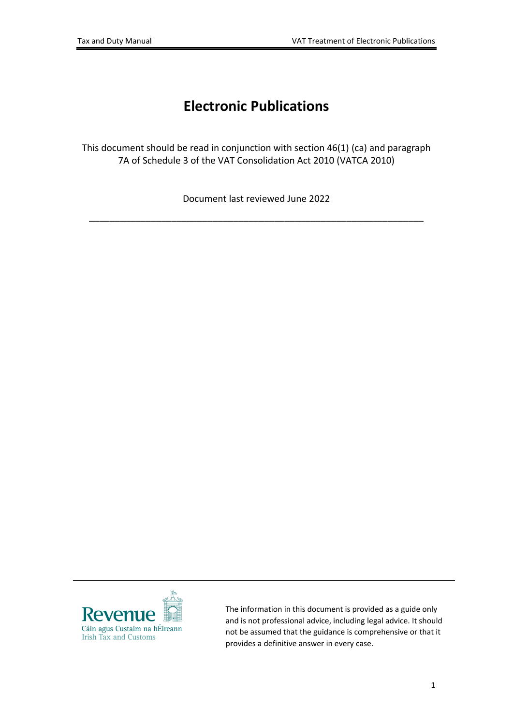# **Electronic Publications**

This document should be read in conjunction with section 46(1) (ca) and paragraph 7A of Schedule 3 of the VAT Consolidation Act 2010 (VATCA 2010)

Document last reviewed June 2022

\_\_\_\_\_\_\_\_\_\_\_\_\_\_\_\_\_\_\_\_\_\_\_\_\_\_\_\_\_\_\_\_\_\_\_\_\_\_\_\_\_\_\_\_\_\_\_\_\_\_\_\_\_\_\_\_\_\_\_\_\_\_\_\_\_



The information in this document is provided as a guide only and is not professional advice, including legal advice. It should not be assumed that the guidance is comprehensive or that it provides a definitive answer in every case.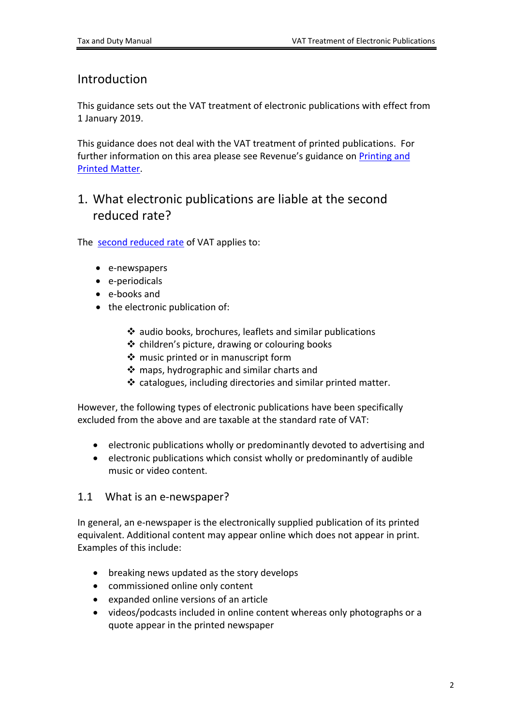### Introduction

This guidance sets out the VAT treatment of electronic publications with effect from 1 January 2019.

This guidance does not deal with the VAT treatment of printed publications. For further information on this area please see Revenue's guidance on [Printing](https://www.revenue.ie/en/tax-professionals/tdm/value-added-tax/part03-taxable-transactions-goods-ica-services/Goods/goods-printed-matter.pdf) [and](https://www.revenue.ie/en/tax-professionals/tdm/value-added-tax/part03-taxable-transactions-goods-ica-services/Goods/goods-printed-matter.pdf) [Printed](https://www.revenue.ie/en/tax-professionals/tdm/value-added-tax/part03-taxable-transactions-goods-ica-services/Goods/goods-printed-matter.pdf) [Matter.](https://www.revenue.ie/en/tax-professionals/tdm/value-added-tax/part03-taxable-transactions-goods-ica-services/Goods/goods-printed-matter.pdf)

### 1. What electronic publications are liable at the second reduced rate?

The [second](https://www.revenue.ie/en/vat/vat-rates/search-vat-rates/current-vat-rates.aspx) [reduced](https://www.revenue.ie/en/vat/vat-rates/search-vat-rates/current-vat-rates.aspx) [rate](https://www.revenue.ie/en/vat/vat-rates/search-vat-rates/current-vat-rates.aspx) of VAT applies to:

- e-newspapers
- e-periodicals
- e-books and
- the electronic publication of:
	- audio books, brochures, leaflets and similar publications
	- $\triangleq$  children's picture, drawing or colouring books
	- ❖ music printed or in manuscript form
	- maps, hydrographic and similar charts and
	- catalogues, including directories and similar printed matter.

However, the following types of electronic publications have been specifically excluded from the above and are taxable at the standard rate of VAT:

- electronic publications wholly or predominantly devoted to advertising and
- electronic publications which consist wholly or predominantly of audible music or video content.

#### 1.1 What is an e-newspaper?

In general, an e-newspaper is the electronically supplied publication of its printed equivalent. Additional content may appear online which does not appear in print. Examples of this include:

- breaking news updated as the story develops
- commissioned online only content
- expanded online versions of an article
- videos/podcasts included in online content whereas only photographs or a quote appear in the printed newspaper